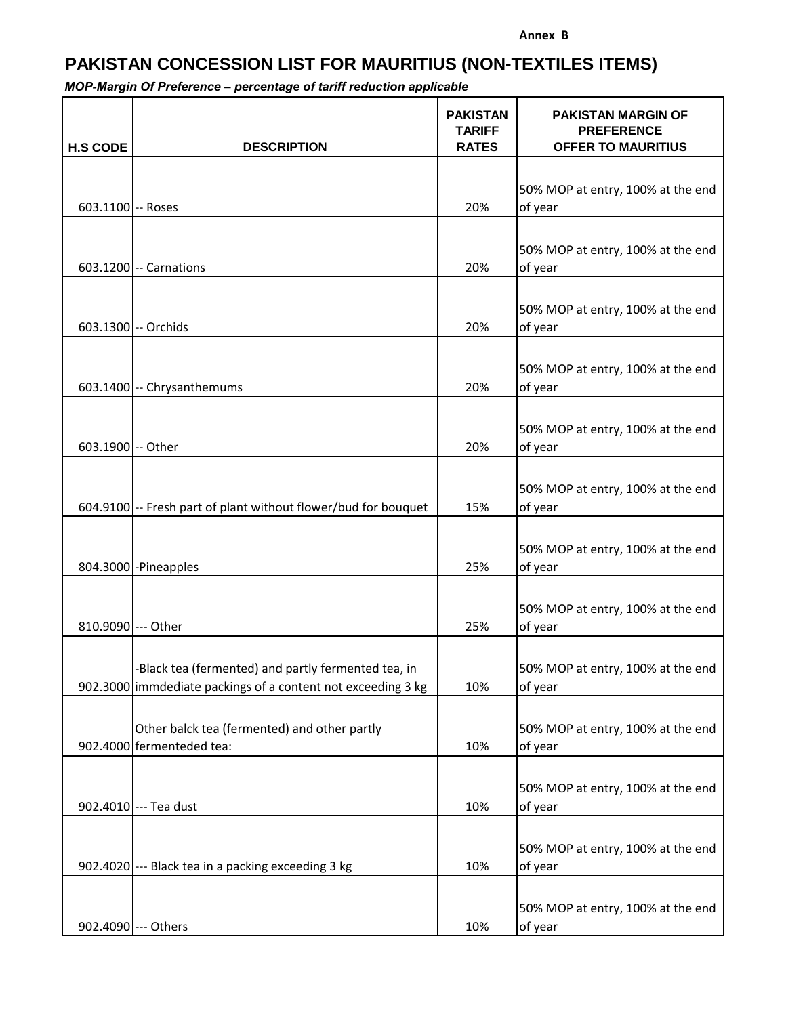## **PAKISTAN CONCESSION LIST FOR MAURITIUS (NON-TEXTILES ITEMS)**

| <b>H.S CODE</b>    | <b>DESCRIPTION</b>                                                        | <b>PAKISTAN</b><br><b>TARIFF</b><br><b>RATES</b> | <b>PAKISTAN MARGIN OF</b><br><b>PREFERENCE</b><br><b>OFFER TO MAURITIUS</b> |
|--------------------|---------------------------------------------------------------------------|--------------------------------------------------|-----------------------------------------------------------------------------|
|                    |                                                                           |                                                  |                                                                             |
|                    |                                                                           |                                                  | 50% MOP at entry, 100% at the end                                           |
| 603.1100 -- Roses  |                                                                           | 20%                                              | of year                                                                     |
|                    |                                                                           |                                                  |                                                                             |
|                    |                                                                           |                                                  | 50% MOP at entry, 100% at the end                                           |
|                    | 603.1200 -- Carnations                                                    | 20%                                              | of year                                                                     |
|                    |                                                                           |                                                  | 50% MOP at entry, 100% at the end                                           |
|                    | 603.1300 -- Orchids                                                       | 20%                                              | of year                                                                     |
|                    |                                                                           |                                                  |                                                                             |
|                    |                                                                           |                                                  | 50% MOP at entry, 100% at the end                                           |
|                    | 603.1400 -- Chrysanthemums                                                | 20%                                              | of year                                                                     |
|                    |                                                                           |                                                  |                                                                             |
| 603.1900 -- Other  |                                                                           | 20%                                              | 50% MOP at entry, 100% at the end<br>of year                                |
|                    |                                                                           |                                                  |                                                                             |
|                    |                                                                           |                                                  | 50% MOP at entry, 100% at the end                                           |
|                    | 604.9100 -- Fresh part of plant without flower/bud for bouquet            | 15%                                              | of year                                                                     |
|                    |                                                                           |                                                  |                                                                             |
|                    |                                                                           |                                                  | 50% MOP at entry, 100% at the end                                           |
|                    | 804.3000 - Pineapples                                                     | 25%                                              | of year                                                                     |
|                    |                                                                           |                                                  | 50% MOP at entry, 100% at the end                                           |
| 810.9090 --- Other |                                                                           | 25%                                              | of year                                                                     |
|                    |                                                                           |                                                  |                                                                             |
|                    | -Black tea (fermented) and partly fermented tea, in                       |                                                  | 50% MOP at entry, 100% at the end                                           |
|                    | 902.3000 immdediate packings of a content not exceeding 3 kg              | 10%                                              | of year                                                                     |
|                    |                                                                           |                                                  |                                                                             |
|                    | Other balck tea (fermented) and other partly<br>902.4000 fermenteded tea: | 10%                                              | 50% MOP at entry, 100% at the end                                           |
|                    |                                                                           |                                                  | of year                                                                     |
|                    |                                                                           |                                                  | 50% MOP at entry, 100% at the end                                           |
|                    | 902.4010 --- Tea dust                                                     | 10%                                              | of year                                                                     |
|                    |                                                                           |                                                  |                                                                             |
|                    |                                                                           |                                                  | 50% MOP at entry, 100% at the end                                           |
|                    | 902.4020 --- Black tea in a packing exceeding 3 kg                        | 10%                                              | of year                                                                     |
|                    |                                                                           |                                                  |                                                                             |
|                    | 902.4090 --- Others                                                       | 10%                                              | 50% MOP at entry, 100% at the end<br>of year                                |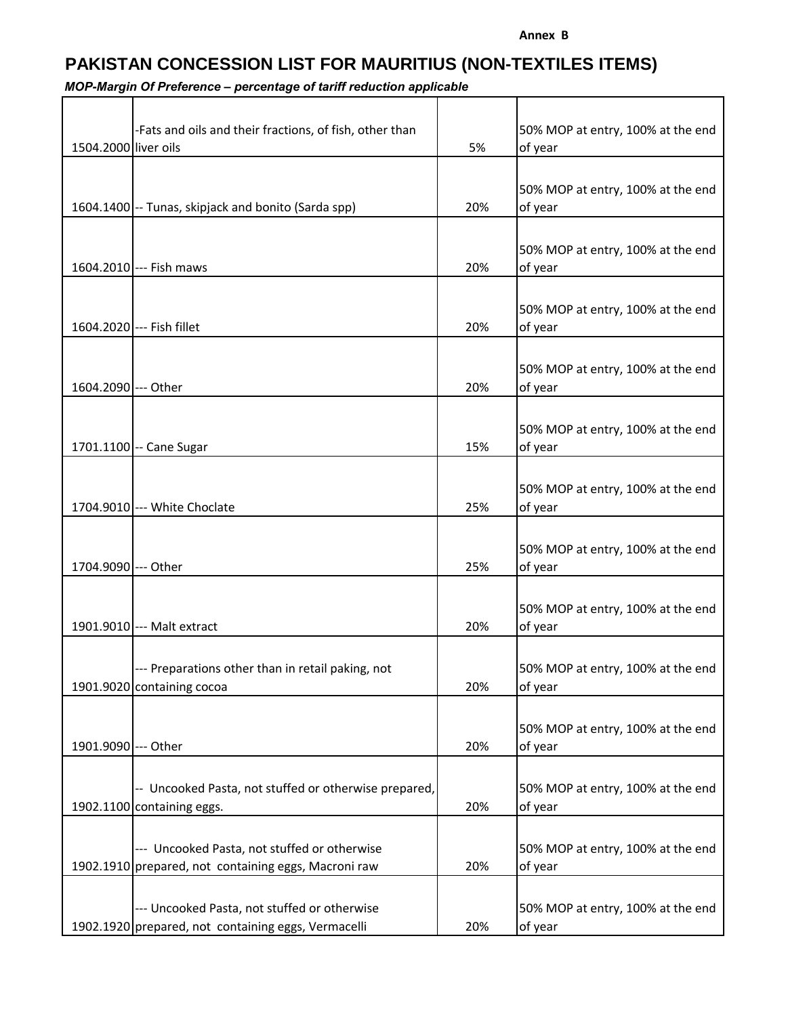## **PAKISTAN CONCESSION LIST FOR MAURITIUS (NON-TEXTILES ITEMS)**

| 1504.2000 liver oils | -Fats and oils and their fractions, of fish, other than                             | 5%  | 50% MOP at entry, 100% at the end<br>of year |
|----------------------|-------------------------------------------------------------------------------------|-----|----------------------------------------------|
|                      |                                                                                     |     |                                              |
|                      | 1604.1400 -- Tunas, skipjack and bonito (Sarda spp)                                 | 20% | 50% MOP at entry, 100% at the end<br>of year |
|                      |                                                                                     |     |                                              |
|                      | 1604.2010 --- Fish maws                                                             | 20% | 50% MOP at entry, 100% at the end<br>of year |
|                      |                                                                                     |     |                                              |
|                      | 1604.2020 --- Fish fillet                                                           | 20% | 50% MOP at entry, 100% at the end<br>of year |
|                      |                                                                                     |     |                                              |
| 1604.2090 --- Other  |                                                                                     | 20% | 50% MOP at entry, 100% at the end<br>of year |
|                      |                                                                                     |     |                                              |
|                      |                                                                                     |     | 50% MOP at entry, 100% at the end            |
|                      | 1701.1100 -- Cane Sugar                                                             | 15% | of year                                      |
|                      |                                                                                     |     |                                              |
|                      | 1704.9010 --- White Choclate                                                        | 25% | 50% MOP at entry, 100% at the end<br>of year |
|                      |                                                                                     |     |                                              |
|                      |                                                                                     |     | 50% MOP at entry, 100% at the end            |
| 1704.9090 --- Other  |                                                                                     | 25% | of year                                      |
|                      |                                                                                     |     | 50% MOP at entry, 100% at the end            |
|                      | 1901.9010 --- Malt extract                                                          | 20% | of year                                      |
|                      |                                                                                     |     |                                              |
|                      | --- Preparations other than in retail paking, not<br>1901.9020 containing cocoa     | 20% | 50% MOP at entry, 100% at the end<br>of year |
|                      |                                                                                     |     |                                              |
|                      |                                                                                     |     | 50% MOP at entry, 100% at the end            |
| 1901.9090 --- Other  |                                                                                     | 20% | of year                                      |
|                      |                                                                                     |     |                                              |
|                      | -- Uncooked Pasta, not stuffed or otherwise prepared,<br>1902.1100 containing eggs. | 20% | 50% MOP at entry, 100% at the end<br>of year |
|                      |                                                                                     |     |                                              |
|                      | --- Uncooked Pasta, not stuffed or otherwise                                        |     | 50% MOP at entry, 100% at the end            |
|                      | 1902.1910 prepared, not containing eggs, Macroni raw                                | 20% | of year                                      |
|                      | --- Uncooked Pasta, not stuffed or otherwise                                        |     | 50% MOP at entry, 100% at the end            |
|                      | 1902.1920 prepared, not containing eggs, Vermacelli                                 | 20% | of year                                      |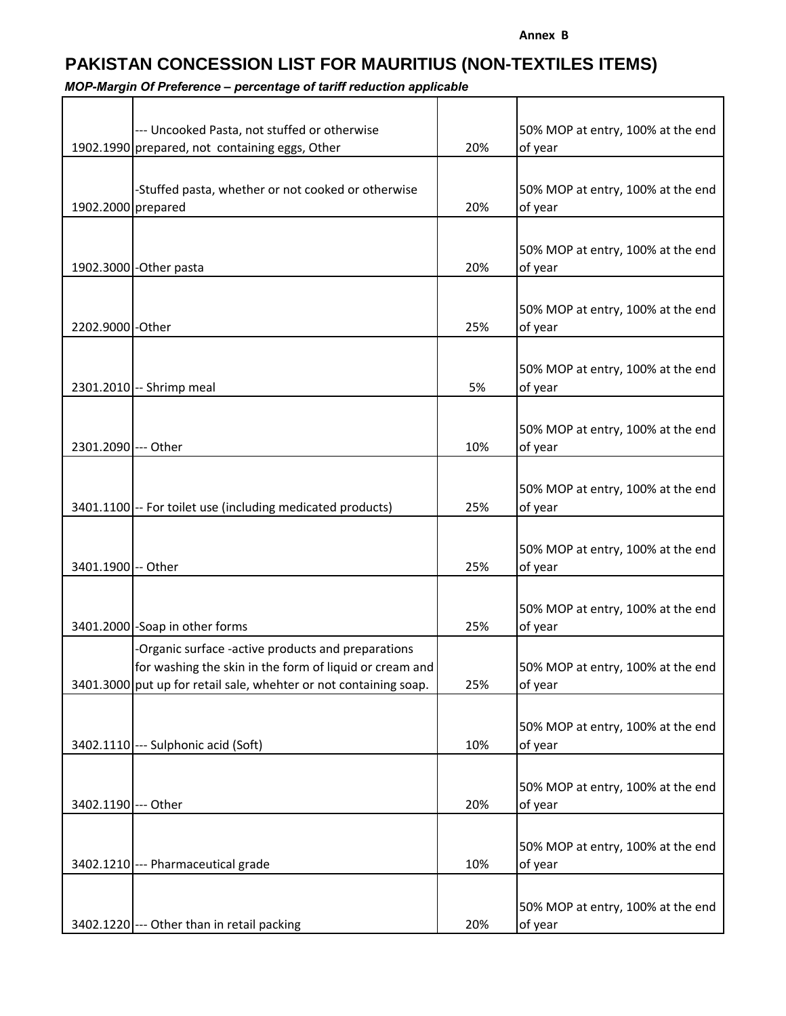## **PAKISTAN CONCESSION LIST FOR MAURITIUS (NON-TEXTILES ITEMS)**

|                                                                                     | --- Uncooked Pasta, not stuffed or otherwise<br>1902.1990 prepared, not containing eggs, Other | 20% | 50% MOP at entry, 100% at the end<br>of year |
|-------------------------------------------------------------------------------------|------------------------------------------------------------------------------------------------|-----|----------------------------------------------|
|                                                                                     |                                                                                                |     |                                              |
| 1902.2000 prepared<br>20%<br>of year                                                | -Stuffed pasta, whether or not cooked or otherwise                                             |     | 50% MOP at entry, 100% at the end            |
|                                                                                     |                                                                                                |     |                                              |
| 1902.3000 - Other pasta<br>20%<br>of year                                           |                                                                                                |     | 50% MOP at entry, 100% at the end            |
|                                                                                     |                                                                                                |     |                                              |
| 2202.9000 - Other<br>25%<br>of year                                                 |                                                                                                |     | 50% MOP at entry, 100% at the end            |
|                                                                                     |                                                                                                |     |                                              |
|                                                                                     |                                                                                                |     | 50% MOP at entry, 100% at the end            |
| 2301.2010 -- Shrimp meal<br>5%<br>of year                                           |                                                                                                |     |                                              |
|                                                                                     |                                                                                                |     |                                              |
| 2301.2090 --- Other<br>10%<br>of year                                               |                                                                                                |     | 50% MOP at entry, 100% at the end            |
|                                                                                     |                                                                                                |     |                                              |
|                                                                                     |                                                                                                |     | 50% MOP at entry, 100% at the end            |
| 3401.1100 -- For toilet use (including medicated products)<br>25%<br>of year        |                                                                                                |     |                                              |
|                                                                                     |                                                                                                |     |                                              |
|                                                                                     |                                                                                                |     | 50% MOP at entry, 100% at the end            |
| 3401.1900 -- Other<br>25%<br>of year                                                |                                                                                                |     |                                              |
|                                                                                     |                                                                                                |     |                                              |
|                                                                                     |                                                                                                |     | 50% MOP at entry, 100% at the end            |
| 3401.2000 - Soap in other forms<br>25%<br>of year                                   |                                                                                                |     |                                              |
| -Organic surface -active products and preparations                                  |                                                                                                |     |                                              |
| for washing the skin in the form of liquid or cream and                             |                                                                                                |     | 50% MOP at entry, 100% at the end            |
| 3401.3000 put up for retail sale, whehter or not containing soap.<br>25%<br>of year |                                                                                                |     |                                              |
|                                                                                     |                                                                                                |     |                                              |
|                                                                                     |                                                                                                |     | 50% MOP at entry, 100% at the end            |
| 3402.1110 --- Sulphonic acid (Soft)<br>10%<br>of year                               |                                                                                                |     |                                              |
|                                                                                     |                                                                                                |     |                                              |
|                                                                                     |                                                                                                |     | 50% MOP at entry, 100% at the end            |
| 3402.1190 --- Other<br>20%<br>of year                                               |                                                                                                |     |                                              |
|                                                                                     |                                                                                                |     |                                              |
| 3402.1210 --- Pharmaceutical grade<br>10%<br>of year                                |                                                                                                |     | 50% MOP at entry, 100% at the end            |
|                                                                                     |                                                                                                |     |                                              |
|                                                                                     |                                                                                                |     | 50% MOP at entry, 100% at the end            |
| 3402.1220 --- Other than in retail packing<br>20%<br>of year                        |                                                                                                |     |                                              |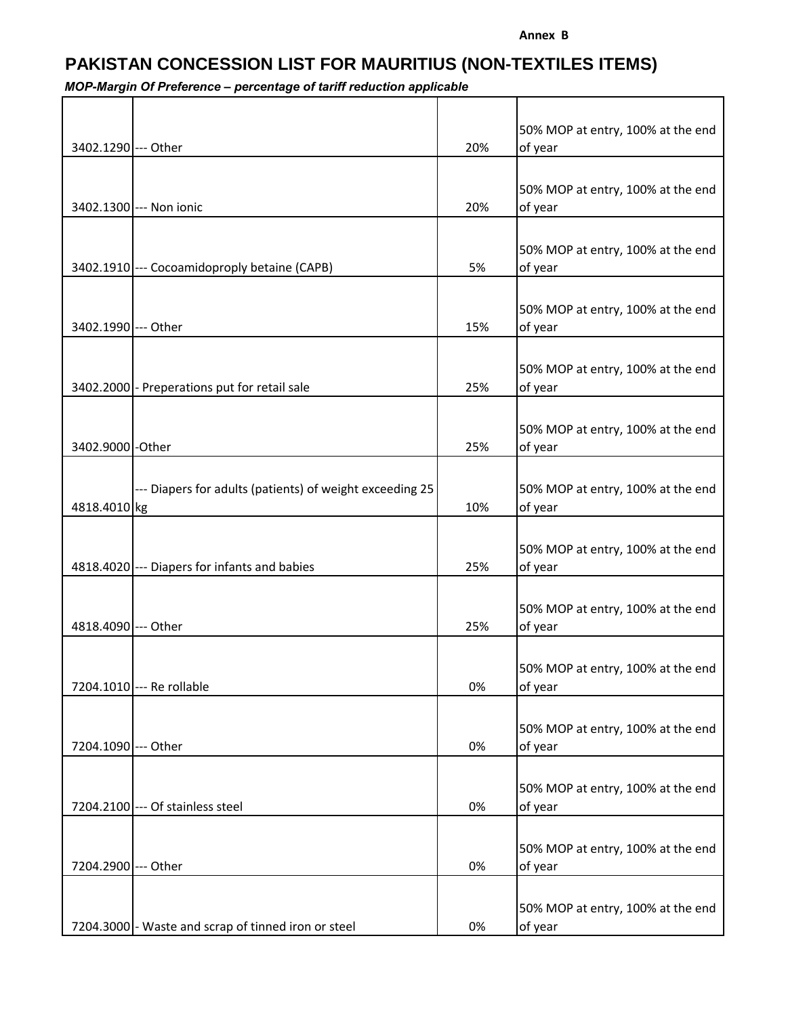**Annex B**

## **PAKISTAN CONCESSION LIST FOR MAURITIUS (NON-TEXTILES ITEMS)**

| 3402.1290 --- Other |                                                          | 20% | 50% MOP at entry, 100% at the end<br>of year |
|---------------------|----------------------------------------------------------|-----|----------------------------------------------|
|                     |                                                          |     |                                              |
|                     |                                                          |     | 50% MOP at entry, 100% at the end            |
|                     | 3402.1300 --- Non ionic                                  | 20% | of year                                      |
|                     |                                                          |     | 50% MOP at entry, 100% at the end            |
|                     | 3402.1910 --- Cocoamidoproply betaine (CAPB)             | 5%  | of year                                      |
|                     |                                                          |     |                                              |
| 3402.1990 --- Other |                                                          | 15% | 50% MOP at entry, 100% at the end<br>of year |
|                     |                                                          |     |                                              |
|                     |                                                          |     | 50% MOP at entry, 100% at the end            |
|                     | 3402.2000 - Preperations put for retail sale             | 25% | of year                                      |
|                     |                                                          |     |                                              |
| 3402.9000 - Other   |                                                          | 25% | 50% MOP at entry, 100% at the end<br>of year |
|                     |                                                          |     |                                              |
|                     | --- Diapers for adults (patients) of weight exceeding 25 |     | 50% MOP at entry, 100% at the end            |
| 4818.4010 kg        |                                                          | 10% | of year                                      |
|                     |                                                          |     | 50% MOP at entry, 100% at the end            |
|                     | 4818.4020 --- Diapers for infants and babies             | 25% | of year                                      |
|                     |                                                          |     |                                              |
| 4818.4090 --- Other |                                                          | 25% | 50% MOP at entry, 100% at the end            |
|                     |                                                          |     | of year                                      |
|                     |                                                          |     | 50% MOP at entry, 100% at the end            |
|                     | 7204.1010 --- Re rollable                                | 0%  | of year                                      |
|                     |                                                          |     |                                              |
| 7204.1090 --- Other |                                                          | 0%  | 50% MOP at entry, 100% at the end<br>of year |
|                     |                                                          |     |                                              |
|                     |                                                          |     | 50% MOP at entry, 100% at the end            |
|                     | 7204.2100 --- Of stainless steel                         | 0%  | of year                                      |
|                     |                                                          |     |                                              |
| 7204.2900 --- Other |                                                          | 0%  | 50% MOP at entry, 100% at the end<br>of year |
|                     |                                                          |     |                                              |
|                     |                                                          |     | 50% MOP at entry, 100% at the end            |
|                     | 7204.3000 - Waste and scrap of tinned iron or steel      | 0%  | of year                                      |